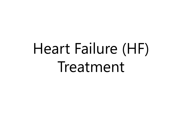# Heart Failure (HF) Treatment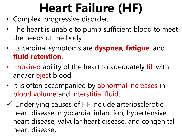## **Heart Failure (HF)**

- Complex, progressive disorder.
- The heart is unable to pump sufficient blood to meet the needs of the body.
- Its cardinal symptoms are **dyspnea**, **fatigue**, and **fluid retention**.
- Impaired ability of the heart to adequately fill with and/or eject blood.
- It is often accompanied by abnormal increases in blood volume and interstitial fluid.
- $\checkmark$  Underlying causes of HF include arteriosclerotic heart disease, myocardial infarction, hypertensive heart disease, valvular heart disease, and congenital heart disease.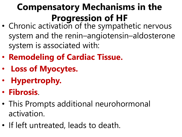### **Compensatory Mechanisms in the Progression of HF**

- Chronic activation of the sympathetic nervous system and the renin–angiotensin–aldosterone system is associated with:
- **Remodeling of Cardiac Tissue.**
- **Loss of Myocytes.**
- **Hypertrophy.**
- **Fibrosis**.
- This Prompts additional neurohormonal activation.
- If left untreated, leads to death.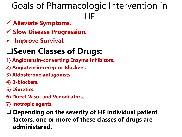### Goals of Pharmacologic Intervention in HF

- **Alleviate Symptoms.**
- **Slow Disease Progression.**
- **Improve Survival.**

#### **Seven Classes of Drugs:**

- **1) Angiotensin-converting Enzyme Inhibitors.**
- **2) Angiotensin-receptor Blockers.**
- **3) Aldosterone antagonists,**
- **4) β-blockers.**
- **5) Diuretics.**
- **6) Direct Vaso- and Venodilators.**
- **7) Inotropic agents.**
- **Depending on the severity of HF individual patient factors, one or more of these classes of drugs are administered.**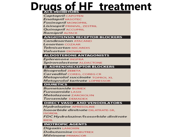## **Drugs of HF treatment**

Captopril CAPOTEN **Enalapril VASOTEC Fosinopril MONOPRIL** Lisinopril PRINIVIL, ZESTRIL **Quinapril ACCUPRIL Ramipril ALTACE** 

#### **ANGIOTENSIN RECEPTOR BLOCKERS**

Candesartan ATACAND **Losartan COZAAR** *Telmisartan* MICARDIS *Valsartan* DIOVAN

#### **ALDOSTERONE ANTAGONISTS**

Eplerenone INSPRA Spironolactone ALDACTONE

#### **B-ADRENORECEPTOR BLOCKERS**

**Bisoprolol ZEBETA** Carvedilol COREG, COREG CR Metoprolol succinate TOPROL XL Metoprolol tartrate LOPRESSOR

#### **DIURETICS**

**Bumetanide BUMEX Furosemide L**ASIX Metolazone ZAROXOLYN Torsemide DEMADEX

#### **DIRECT VASO - AND VENODILATORS**

Hydralazine APRESOLINE Isosorbide dinitrate DILATRATE-SR. **ISORDIL** 

FDC Hydralazine/Isosorbide dinitrate **BIDIL** 

#### **INOTROPIC AGENTS**

**Digoxin LANOXIN Dobutamine** DOBUTREX Milrinone PRIMACOR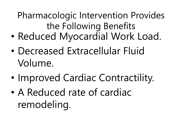Pharmacologic Intervention Provides the Following Benefits

- Reduced Myocardial Work Load.
- Decreased Extracellular Fluid Volume.
- Improved Cardiac Contractility.
- A Reduced rate of cardiac remodeling.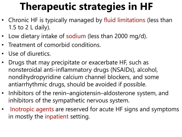### **Therapeutic strategies in HF**

- Chronic HF is typically managed by fluid limitations (less than 1.5 to 2 L daily).
- Low dietary intake of sodium (less than 2000 mg/d).
- Treatment of comorbid conditions.
- Use of diuretics.
- Drugs that may precipitate or exacerbate HF, such as nonsteroidal anti-inflammatory drugs (NSAIDs), alcohol, nondihydropyridine calcium channel blockers, and some antiarrhythmic drugs, should be avoided if possible.
- Inhibitors of the renin–angiotensin–aldosterone system, and inhibitors of the sympathetic nervous system.
- Inotropic agents are reserved for acute HF signs and symptoms in mostly the inpatient setting.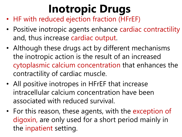## **Inotropic Drugs**

- HF with reduced ejection fraction (HFrEF)
- Positive inotropic agents enhance cardiac contractility and, thus increase cardiac output.
- Although these drugs act by different mechanisms the inotropic action is the result of an increased cytoplasmic calcium concentration that enhances the contractility of cardiac muscle.
- All positive inotropes in HFrEF that increase intracellular calcium concentration have been associated with reduced survival.
- For this reason, these agents, with the exception of digoxin, are only used for a short period mainly in the inpatient setting.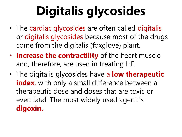## **Digitalis glycosides**

- The cardiac glycosides are often called digitalis or digitalis glycosides because most of the drugs come from the digitalis (foxglove) plant.
- **Increase the contractility** of the heart muscle and, therefore, are used in treating HF.
- The digitalis glycosides have a **low therapeutic index**. with only a small difference between a therapeutic dose and doses that are toxic or even fatal. The most widely used agent is **digoxin.**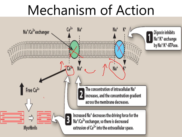## Mechanism of Action

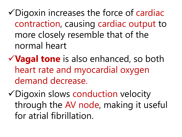Digoxin increases the force of cardiac contraction, causing cardiac output to more closely resemble that of the normal heart

**Vagal tone** is also enhanced, so both heart rate and myocardial oxygen demand decrease.

Digoxin slows conduction velocity through the AV node, making it useful for atrial fibrillation.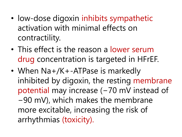- low-dose digoxin inhibits sympathetic activation with minimal effects on contractility.
- This effect is the reason a lower serum drug concentration is targeted in HFrEF.
- When Na+/K+-ATPase is markedly inhibited by digoxin, the resting membrane potential may increase (−70 mV instead of −90 mV), which makes the membrane more excitable, increasing the risk of arrhythmias (toxicity).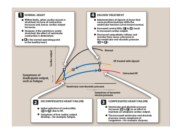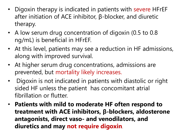- Digoxin therapy is indicated in patients with severe HFrEF after initiation of ACE inhibitor, β-blocker, and diuretic therapy.
- A low serum drug concentration of digoxin (0.5 to 0.8 ng/mL) is beneficial in HFrEF.
- At this level, patients may see a reduction in HF admissions, along with improved survival.
- At higher serum drug concentrations, admissions are prevented, but mortality likely increases.
- Digoxin is not indicated in patients with diastolic or right sided HF unless the patient has concomitant atrial fibrillation or flutter.
- **Patients with mild to moderate HF often respond to treatment with ACE inhibitors, β-blockers, aldosterone antagonists, direct vaso- and venodilators, and diuretics and may not require digoxin**.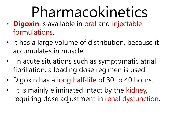# Pharmacokinetics

- **Digoxin** is available in oral and injectable formulations.
- It has a large volume of distribution, because it accumulates in muscle.
- In acute situations such as symptomatic atrial fibrillation, a loading dose regimen is used.
- Digoxin has a long half-life of 30 to 40 hours.
- It is mainly eliminated intact by the kidney, requiring dose adjustment in renal dysfunction.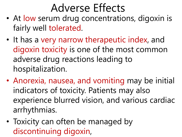### Adverse Effects

- At low serum drug concentrations, digoxin is fairly well tolerated.
- It has a very narrow therapeutic index, and digoxin toxicity is one of the most common adverse drug reactions leading to hospitalization.
- Anorexia, nausea, and vomiting may be initial indicators of toxicity. Patients may also experience blurred vision, and various cardiac arrhythmias.
- Toxicity can often be managed by discontinuing digoxin,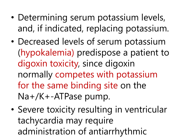- Determining serum potassium levels, and, if indicated, replacing potassium.
- Decreased levels of serum potassium (hypokalemia) predispose a patient to digoxin toxicity, since digoxin normally competes with potassium for the same binding site on the Na+/K+-ATPase pump.
- Severe toxicity resulting in ventricular tachycardia may require administration of antiarrhythmic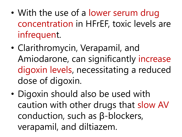- With the use of a lower serum drug concentration in HFrEF, toxic levels are infrequent.
- Clarithromycin, Verapamil, and Amiodarone, can significantly increase digoxin levels, necessitating a reduced dose of digoxin.
- Digoxin should also be used with caution with other drugs that slow AV conduction, such as β-blockers, verapamil, and diltiazem.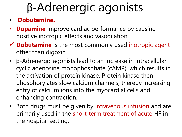## β-Adrenergic agonists

- **Dobutamine.**
- **Dopamine** improve cardiac performance by causing positive inotropic effects and vasodilation.
- **Dobutamine** is the most commonly used inotropic agent other than digoxin.
- β-Adrenergic agonists lead to an increase in intracellular cyclic adenosine monophosphate (cAMP), which results in the activation of protein kinase. Protein kinase then phosphorylates slow calcium channels, thereby increasing entry of calcium ions into the myocardial cells and enhancing contraction.
- Both drugs must be given by intravenous infusion and are primarily used in the short-term treatment of acute HF in the hospital setting.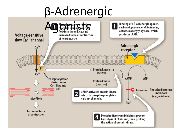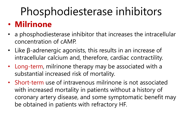## Phosphodiesterase inhibitors

#### • **Milrinone**

- a phosphodiesterase inhibitor that increases the intracellular concentration of cAMP.
- Like β-adrenergic agonists, this results in an increase of intracellular calcium and, therefore, cardiac contractility.
- Long-term, milrinone therapy may be associated with a substantial increased risk of mortality.
- Short-term use of intravenous milrinone is not associated with increased mortality in patients without a history of coronary artery disease, and some symptomatic benefit may be obtained in patients with refractory HF.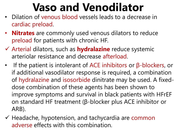## **Vaso and Venodilator**

- Dilation of venous blood vessels leads to a decrease in cardiac preload.
- **Nitrates** are commonly used venous dilators to reduce preload for patients with chronic HF.
- Arterial dilators, such as **hydralazine** reduce systemic arteriolar resistance and decrease afterload.
- If the patient is intolerant of ACE inhibitors or β-blockers, or if additional vasodilator response is required, a combination of hydralazine and isosorbide dinitrate may be used. A fixeddose combination of these agents has been shown to improve symptoms and survival in black patients with HFrEF on standard HF treatment (β-blocker plus ACE inhibitor or ARB).
- $\checkmark$  Headache, hypotension, and tachycardia are common adverse effects with this combination.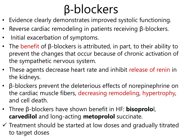## β-blockers

- Evidence clearly demonstrates improved systolic functioning.
- Reverse cardiac remodeling in patients receiving β-blockers.
- Initial exacerbation of symptoms.
- The benefit of  $\beta$ -blockers is attributed, in part, to their ability to prevent the changes that occur because of chronic activation of the sympathetic nervous system.
- These agents decrease heart rate and inhibit release of renin in the kidneys.
- β-blockers prevent the deleterious effects of norepinephrine on the cardiac muscle fibers, decreasing remodeling, hypertrophy, and cell death.
- Three β-blockers have shown benefit in HF: **bisoprolo**l, **carvedilol** and long-acting **metoprolol** succinate.
- $\checkmark$  Treatment should be started at low doses and gradually titrated to target doses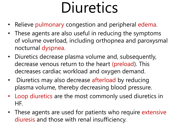## Diuretics

- Relieve pulmonary congestion and peripheral edema.
- These agents are also useful in reducing the symptoms of volume overload, including orthopnea and paroxysmal nocturnal dyspnea.
- Diuretics decrease plasma volume and, subsequently, decrease venous return to the heart (preload). This decreases cardiac workload and oxygen demand.
- Diuretics may also decrease afterload by reducing plasma volume, thereby decreasing blood pressure.
- Loop diuretics are the most commonly used diuretics in HF.
- These agents are used for patients who require extensive diuresis and those with renal insufficiency.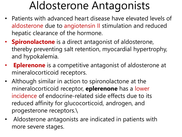### Aldosterone Antagonists

- Patients with advanced heart disease have elevated levels of aldosterone due to angiotensin II stimulation and reduced hepatic clearance of the hormone.
- **Spironolactone** is a direct antagonist of aldosterone, thereby preventing salt retention, myocardial hypertrophy, and hypokalemia.
- **Eplerenone** is a competitive antagonist of aldosterone at mineralocorticoid receptors.
- Although similar in action to spironolactone at the mineralocorticoid receptor, **eplerenone** has a lower incidence of endocrine-related side effects due to its reduced affinity for glucocorticoid, androgen, and progesterone receptors.\
- Aldosterone antagonists are indicated in patients with more severe stages.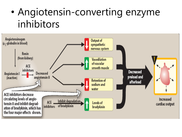### • Angiotensin-converting enzyme inhibitors